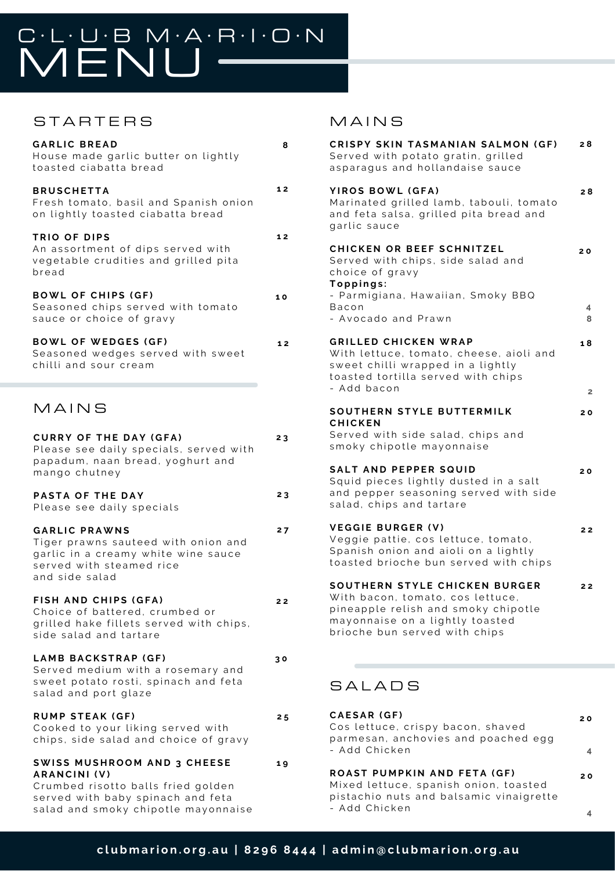# CLUBMARION

### STARTERS

| <b>GARLIC BREAD</b><br>House made garlic butter on lightly<br>toasted ciabatta bread                                                             | 8  |
|--------------------------------------------------------------------------------------------------------------------------------------------------|----|
| <b>BRUSCHETTA</b><br>Fresh tomato, basil and Spanish onion<br>on lightly toasted ciabatta bread                                                  | 12 |
| TRIO OF DIPS<br>An assortment of dips served with<br>vegetable crudities and grilled pita<br>bread                                               | 12 |
| <b>BOWL OF CHIPS (GF)</b><br>Seasoned chips served with tomato<br>sauce or choice of gravy                                                       | 10 |
| <b>BOWL OF WEDGES (GF)</b><br>Seasoned wedges served with sweet<br>chilli and sour cream                                                         | 12 |
| MAINS                                                                                                                                            |    |
| <b>CURRY OF THE DAY (GFA)</b><br>Please see daily specials, served with<br>papadum, naan bread, yoghurt and<br>mango chutney                     | 23 |
| PASTA OF THE DAY<br>Please see daily specials                                                                                                    | 23 |
| <b>GARLIC PRAWNS</b><br>Tiger prawns sauteed with onion and<br>garlic in a creamy white wine sauce<br>served with steamed rice<br>and side salad | 27 |
| FISH AND CHIPS (GFA)<br>Choice of battered, crumbed or<br>grilled hake fillets served with chips,<br>side salad and tartare                      | 22 |
| LAMB BACKSTRAP (GF)<br>Served medium with a rosemary and<br>sweet potato rosti, spinach and feta<br>salad and port glaze                         | 30 |
| <b>RUMP STEAK (GF)</b><br>Cooked to your liking served with<br>chips, side salad and choice of gravy                                             | 25 |
| <b>SWISS MUSHROOM AND 3 CHEESE</b><br><b>ARANCINI (V)</b><br>Crumbed risotto balls fried golden                                                  | 19 |

served with baby spinach and feta salad and smoky chipotle mayonnaise

#### **MAINS**

| CRISPY SKIN TASMANIAN SALMON (GF)<br>Served with potato gratin, grilled<br>asparagus and hollandaise sauce                                                                   | 28                   |
|------------------------------------------------------------------------------------------------------------------------------------------------------------------------------|----------------------|
| YIROS BOWL (GFA)<br>Marinated grilled lamb, tabouli, tomato<br>and feta salsa, grilled pita bread and<br>garlic sauce                                                        | 28                   |
| CHICKEN OR BEEF SCHNITZEL<br>Served with chips, side salad and<br>choice of gravy<br>Toppings:<br>- Parmigiana, Hawaiian, Smoky BBQ                                          | 20                   |
| Bacon<br>- Avocado and Prawn                                                                                                                                                 | 4<br>8               |
| <b>GRILLED CHICKEN WRAP</b><br>With lettuce, tomato, cheese, aioli and<br>sweet chilli wrapped in a lightly<br>toasted tortilla served with chips<br>- Add bacon             | 18<br>$\overline{2}$ |
| SOUTHERN STYLE BUTTERMILK                                                                                                                                                    | 20                   |
| <b>CHICKEN</b><br>Served with side salad, chips and<br>smoky chipotle mayonnaise                                                                                             |                      |
| <b>SALT AND PEPPER SQUID</b><br>Squid pieces lightly dusted in a salt<br>and pepper seasoning served with side<br>salad, chips and tartare                                   | 20                   |
| <b>VEGGIE BURGER (V)</b><br>Veggie pattie, cos lettuce, tomato,<br>Spanish onion and aioli on a lightly<br>toasted brioche bun served with chips                             | 22                   |
| SOUTHERN STYLE CHICKEN BURGER<br>With bacon, tomato, cos lettuce,<br>pineapple relish and smoky chipotle<br>mayonnaise on a lightly toasted<br>brioche bun served with chips | 22                   |
| SALADS                                                                                                                                                                       |                      |
| CAESAR (GF)<br>Cos lettuce, crispy bacon, shaved<br>parmesan, anchovies and poached egg<br>- Add Chicken                                                                     | 20<br>4              |
| ROAST PUMPKIN AND FETA (GF)                                                                                                                                                  |                      |
| Mixed lettuce, spanish onion, toasted<br>pistachio nuts and balsamic vinaigrette                                                                                             | 20                   |

**4**

- Add Chicken